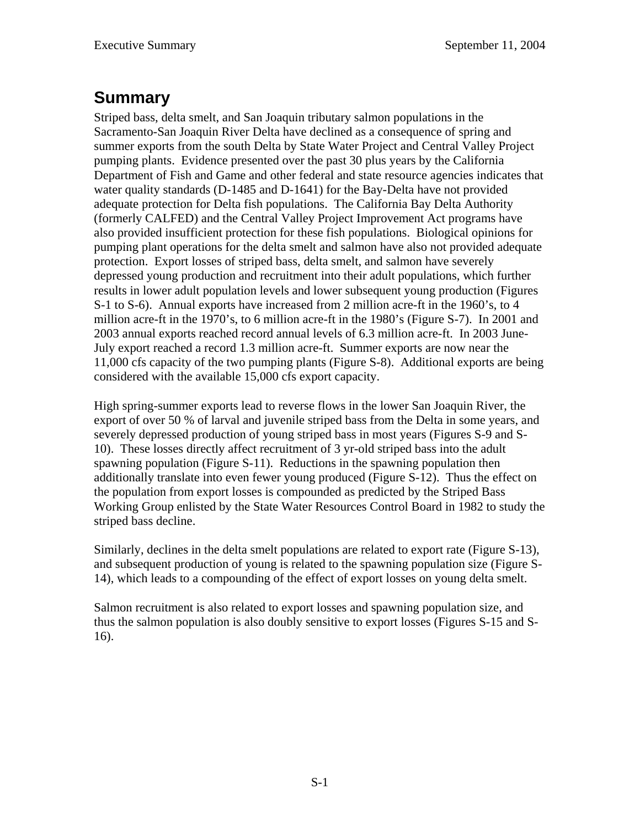## **Summary**

Striped bass, delta smelt, and San Joaquin tributary salmon populations in the Sacramento-San Joaquin River Delta have declined as a consequence of spring and summer exports from the south Delta by State Water Project and Central Valley Project pumping plants. Evidence presented over the past 30 plus years by the California Department of Fish and Game and other federal and state resource agencies indicates that water quality standards (D-1485 and D-1641) for the Bay-Delta have not provided adequate protection for Delta fish populations. The California Bay Delta Authority (formerly CALFED) and the Central Valley Project Improvement Act programs have also provided insufficient protection for these fish populations. Biological opinions for pumping plant operations for the delta smelt and salmon have also not provided adequate protection. Export losses of striped bass, delta smelt, and salmon have severely depressed young production and recruitment into their adult populations, which further results in lower adult population levels and lower subsequent young production (Figures S-1 to S-6). Annual exports have increased from 2 million acre-ft in the 1960's, to 4 million acre-ft in the 1970's, to 6 million acre-ft in the 1980's (Figure S-7). In 2001 and 2003 annual exports reached record annual levels of 6.3 million acre-ft. In 2003 June-July export reached a record 1.3 million acre-ft. Summer exports are now near the 11,000 cfs capacity of the two pumping plants (Figure S-8). Additional exports are being considered with the available 15,000 cfs export capacity.

High spring-summer exports lead to reverse flows in the lower San Joaquin River, the export of over 50 % of larval and juvenile striped bass from the Delta in some years, and severely depressed production of young striped bass in most years (Figures S-9 and S-10). These losses directly affect recruitment of 3 yr-old striped bass into the adult spawning population (Figure S-11). Reductions in the spawning population then additionally translate into even fewer young produced (Figure S-12). Thus the effect on the population from export losses is compounded as predicted by the Striped Bass Working Group enlisted by the State Water Resources Control Board in 1982 to study the striped bass decline.

Similarly, declines in the delta smelt populations are related to export rate (Figure S-13), and subsequent production of young is related to the spawning population size (Figure S-14), which leads to a compounding of the effect of export losses on young delta smelt.

Salmon recruitment is also related to export losses and spawning population size, and thus the salmon population is also doubly sensitive to export losses (Figures S-15 and S-16).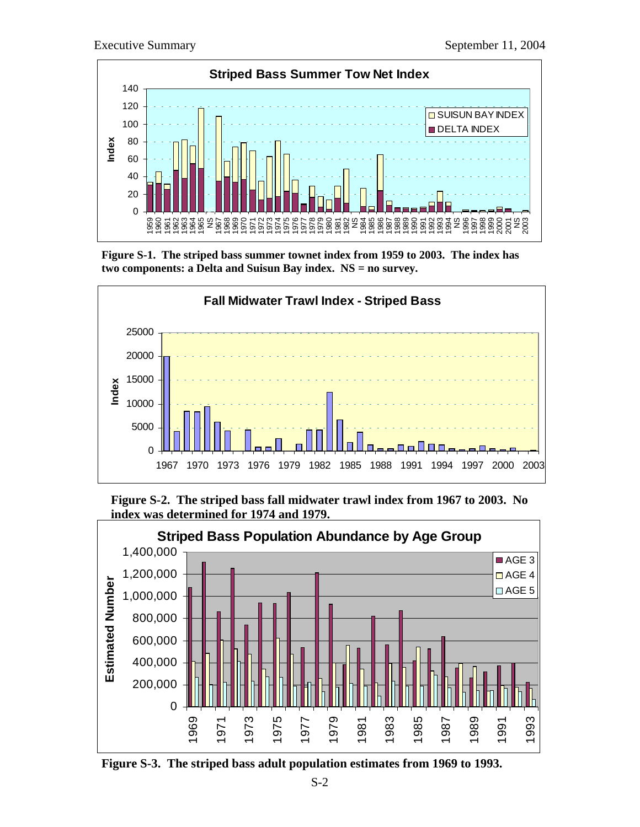





**Figure S-2. The striped bass fall midwater trawl index from 1967 to 2003. No index was determined for 1974 and 1979.** 



**Figure S-3. The striped bass adult population estimates from 1969 to 1993.**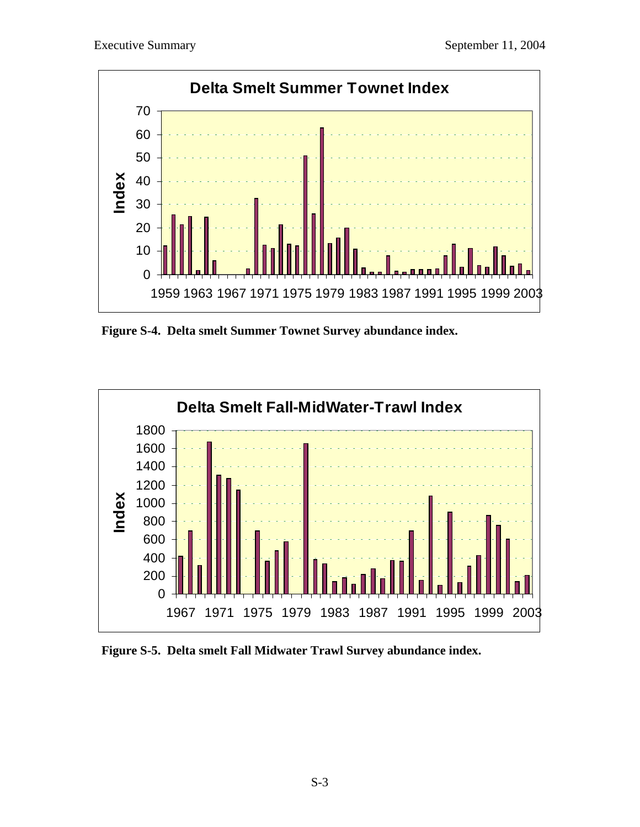

**Figure S-4. Delta smelt Summer Townet Survey abundance index.** 



**Figure S-5. Delta smelt Fall Midwater Trawl Survey abundance index.**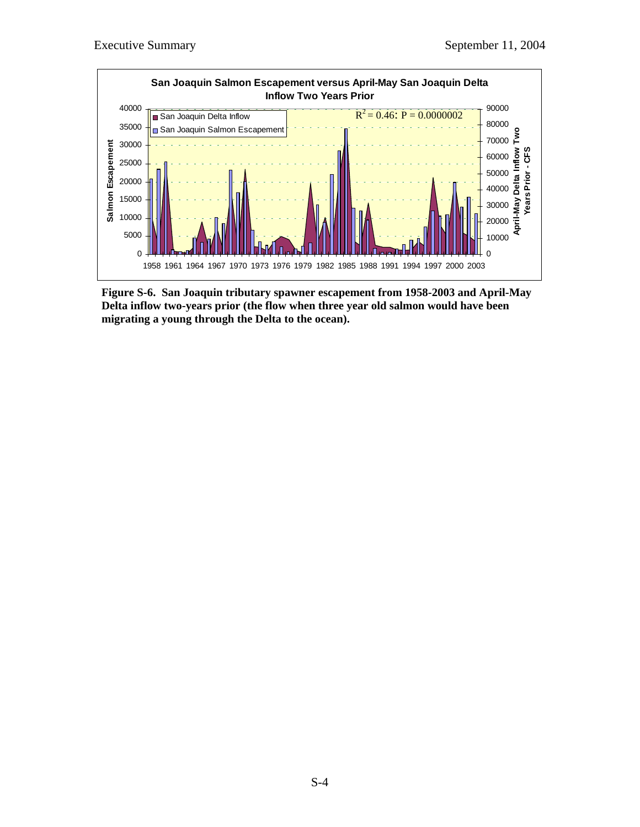

**Figure S-6. San Joaquin tributary spawner escapement from 1958-2003 and April-May Delta inflow two-years prior (the flow when three year old salmon would have been migrating a young through the Delta to the ocean).**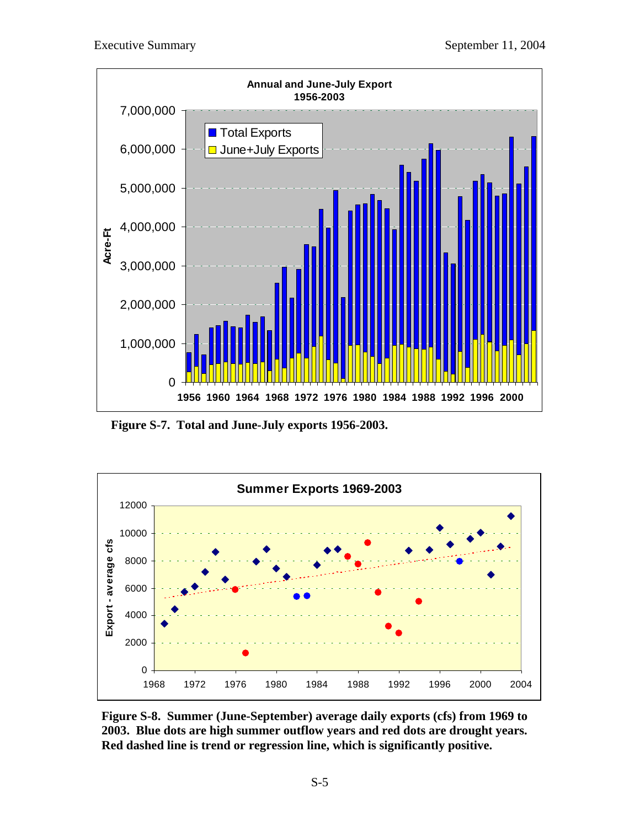

**Figure S-7. Total and June-July exports 1956-2003.**



**Figure S-8. Summer (June-September) average daily exports (cfs) from 1969 to 2003. Blue dots are high summer outflow years and red dots are drought years. Red dashed line is trend or regression line, which is significantly positive.**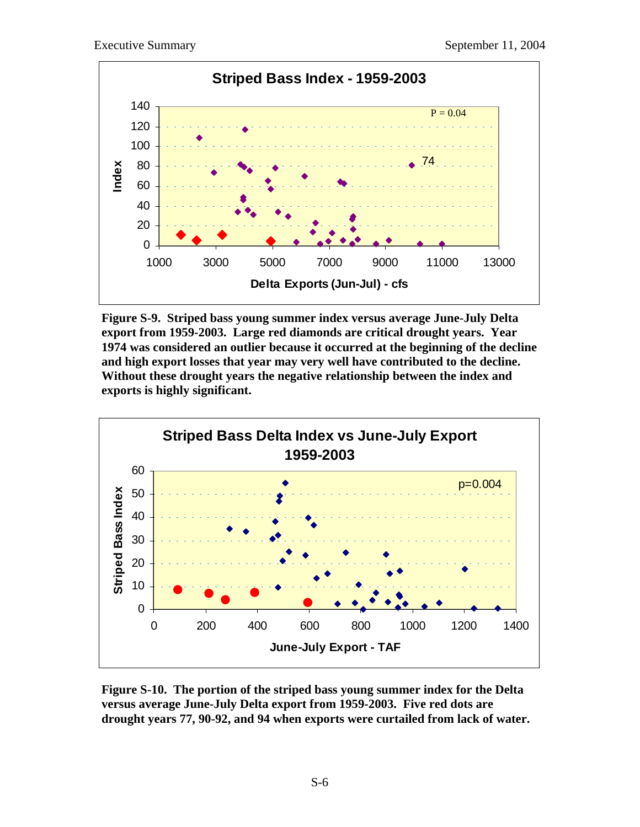

**Figure S-9. Striped bass young summer index versus average June-July Delta export from 1959-2003. Large red diamonds are critical drought years. Year 1974 was considered an outlier because it occurred at the beginning of the decline and high export losses that year may very well have contributed to the decline. Without these drought years the negative relationship between the index and exports is highly significant.** 



**Figure S-10. The portion of the striped bass young summer index for the Delta versus average June-July Delta export from 1959-2003. Five red dots are drought years 77, 90-92, and 94 when exports were curtailed from lack of water.**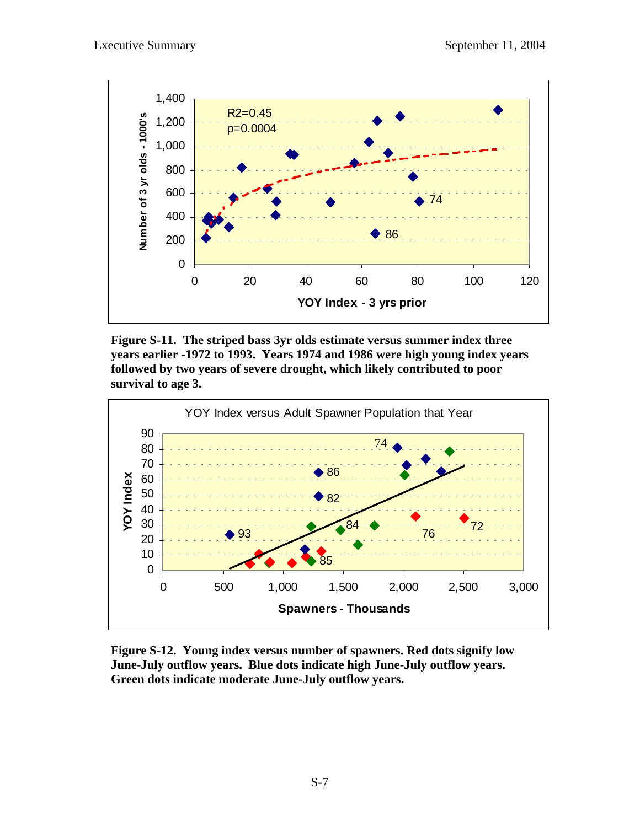

**Figure S-11. The striped bass 3yr olds estimate versus summer index three years earlier -1972 to 1993. Years 1974 and 1986 were high young index years followed by two years of severe drought, which likely contributed to poor survival to age 3.** 



**Figure S-12. Young index versus number of spawners. Red dots signify low June-July outflow years. Blue dots indicate high June-July outflow years. Green dots indicate moderate June-July outflow years.**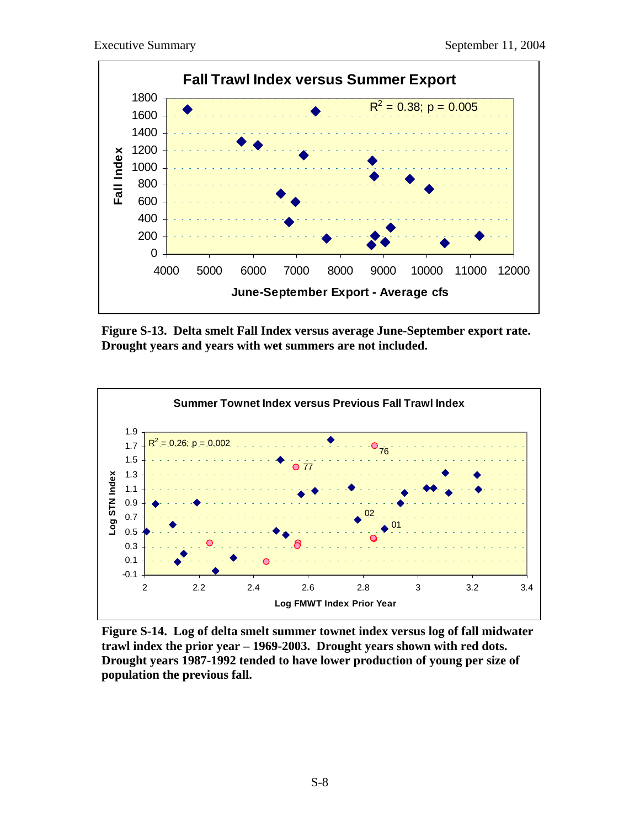

**Figure S-13. Delta smelt Fall Index versus average June-September export rate. Drought years and years with wet summers are not included.** 



**Figure S-14. Log of delta smelt summer townet index versus log of fall midwater trawl index the prior year – 1969-2003. Drought years shown with red dots. Drought years 1987-1992 tended to have lower production of young per size of population the previous fall.**